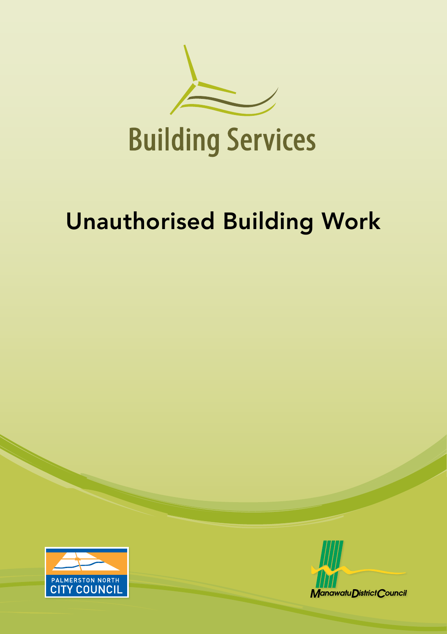

# Unauthorised Building Work



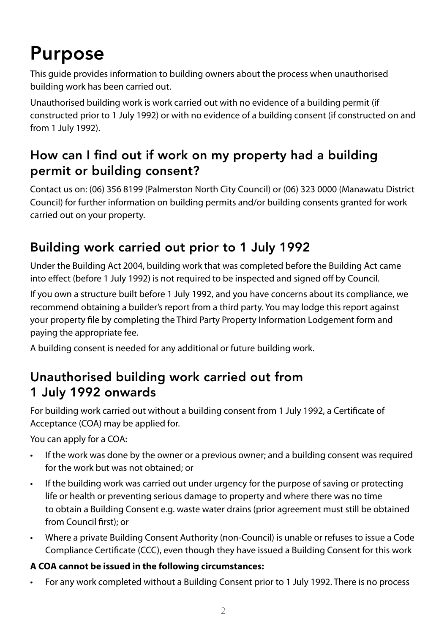## Purpose

This guide provides information to building owners about the process when unauthorised building work has been carried out.

Unauthorised building work is work carried out with no evidence of a building permit (if constructed prior to 1 July 1992) or with no evidence of a building consent (if constructed on and from 1 July 1992).

#### How can I find out if work on my property had a building permit or building consent?

Contact us on: (06) 356 8199 (Palmerston North City Council) or (06) 323 0000 (Manawatu District Council) for further information on building permits and/or building consents granted for work carried out on your property.

### Building work carried out prior to 1 July 1992

Under the Building Act 2004, building work that was completed before the Building Act came into effect (before 1 July 1992) is not required to be inspected and signed off by Council.

If you own a structure built before 1 July 1992, and you have concerns about its compliance, we recommend obtaining a builder's report from a third party. You may lodge this report against your property file by completing the Third Party Property Information Lodgement form and paying the appropriate fee.

A building consent is needed for any additional or future building work.

#### Unauthorised building work carried out from 1 July 1992 onwards

For building work carried out without a building consent from 1 July 1992, a Certificate of Acceptance (COA) may be applied for.

You can apply for a COA:

- If the work was done by the owner or a previous owner; and a building consent was required for the work but was not obtained; or
- If the building work was carried out under urgency for the purpose of saving or protecting life or health or preventing serious damage to property and where there was no time to obtain a Building Consent e.g. waste water drains (prior agreement must still be obtained from Council first); or
- Where a private Building Consent Authority (non-Council) is unable or refuses to issue a Code Compliance Certificate (CCC), even though they have issued a Building Consent for this work

#### **A COA cannot be issued in the following circumstances:**

• For any work completed without a Building Consent prior to 1 July 1992. There is no process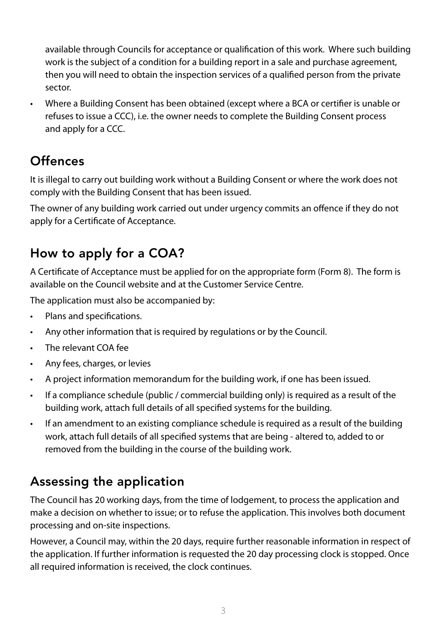available through Councils for acceptance or qualification of this work. Where such building work is the subject of a condition for a building report in a sale and purchase agreement, then you will need to obtain the inspection services of a qualified person from the private sector.

• Where a Building Consent has been obtained (except where a BCA or certifier is unable or refuses to issue a CCC), i.e. the owner needs to complete the Building Consent process and apply for a CCC.

#### **Offences**

It is illegal to carry out building work without a Building Consent or where the work does not comply with the Building Consent that has been issued.

The owner of any building work carried out under urgency commits an offence if they do not apply for a Certificate of Acceptance.

### How to apply for a COA?

A Certificate of Acceptance must be applied for on the appropriate form (Form 8). The form is available on the Council website and at the Customer Service Centre.

The application must also be accompanied by:

- Plans and specifications.
- Any other information that is required by regulations or by the Council.
- The relevant COA fee
- Any fees, charges, or levies
- A project information memorandum for the building work, if one has been issued.
- If a compliance schedule (public / commercial building only) is required as a result of the building work, attach full details of all specified systems for the building.
- If an amendment to an existing compliance schedule is required as a result of the building work, attach full details of all specified systems that are being - altered to, added to or removed from the building in the course of the building work.

#### Assessing the application

The Council has 20 working days, from the time of lodgement, to process the application and make a decision on whether to issue; or to refuse the application. This involves both document processing and on-site inspections.

However, a Council may, within the 20 days, require further reasonable information in respect of the application. If further information is requested the 20 day processing clock is stopped. Once all required information is received, the clock continues.